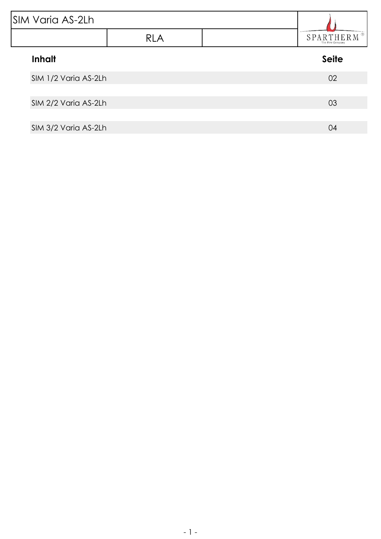| <b>SIM Varia AS-2Lh</b> |            |  |                                                        |
|-------------------------|------------|--|--------------------------------------------------------|
|                         | <b>RLA</b> |  | <b>(R)</b><br><b>SPARTHER</b><br>M<br>The Fire Company |
| <b>Inhalt</b>           |            |  | <b>Seite</b>                                           |
| SIM 1/2 Varia AS-2Lh    |            |  | 02                                                     |
| SIM 2/2 Varia AS-2Lh    |            |  | 03                                                     |
| SIM 3/2 Varia AS-2Lh    |            |  | 04                                                     |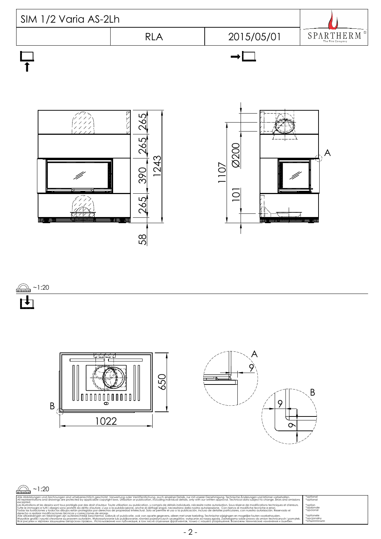<span id="page-1-0"></span>





| $\frac{1}{\text{minimum}}$ ~1:20                                                                                                                                                                                                                                                                                                                                                                                                                                                                                                                                                                                                                                                                                                                                                                                                                                                                                                                                         |                                                  |
|--------------------------------------------------------------------------------------------------------------------------------------------------------------------------------------------------------------------------------------------------------------------------------------------------------------------------------------------------------------------------------------------------------------------------------------------------------------------------------------------------------------------------------------------------------------------------------------------------------------------------------------------------------------------------------------------------------------------------------------------------------------------------------------------------------------------------------------------------------------------------------------------------------------------------------------------------------------------------|--------------------------------------------------|
| Alle Abbildungen und Zeichnungen sind urheberrechtlich geschützt. Verwertung oder Veröffentlichung, guch einzelner Detgils, nur mit unserer Genehmigung, Technische Änderungen und Irrtümer vorbehalten.                                                                                                                                                                                                                                                                                                                                                                                                                                                                                                                                                                                                                                                                                                                                                                 | *optional                                        |
| All representations and drawings are protected by applicable copyright laws. Utilisation or publication, including individual details, only with our written approval. Technical data subject to change. Errors and omissions                                                                                                                                                                                                                                                                                                                                                                                                                                                                                                                                                                                                                                                                                                                                            | *optional                                        |
| excepted.<br>Les illustrations et les dessins sont tous protégés par des droit d'auteur. Toute utilisation ou publication, y compris de détails individuels, nécessite notre autorisation. Sous réserve de modifications techniques et d'er<br>Tutte le immagini e tutti i disegni sono protetti da diritto d'autore. L'uso o la pubblicazione, anche di dettagli singoli, necessitano della nostra autorizzazione. Con riserva di modifiche tecniche e errori.<br>Todas las ilustaciones y todos los dibuios están protegidos por derechos de propiedad intelectual. Solo se permite el uso o la publicación, incluso de detalles particulares, con nuestra autorización, Reservado el<br>derecho a realizar modificaciones técnicas y correcciones de errores.<br>Alle afbeeldingen en tekeningen zijn autersrechtelijk beschermd. Gebruik of publicatie, ook van aparte gegevens, alleen met onze toelating. Technische wijzigingen en mogelijke fouten voorbehouden. | *option<br>*opzionale<br>*opcional<br>*optionele |
| Wszystkie grafiki i rysunki chronione są prawem autorskim. Wykorzystywanie lub publikowanie, również pojedynczych szczegółów, wyłącznie za naszą zgodą. Zastrzegamy sobie prawo do zmian technicznych i pomyłek.                                                                                                                                                                                                                                                                                                                                                                                                                                                                                                                                                                                                                                                                                                                                                         | *opcjonalny                                      |
| Все рисунки и чертежи защищены авторским правом Использование или публикация, в том числе отдельных фратментов, только с нашего разрешения. Возможны технические изменения и ошибки.                                                                                                                                                                                                                                                                                                                                                                                                                                                                                                                                                                                                                                                                                                                                                                                     | *опционально                                     |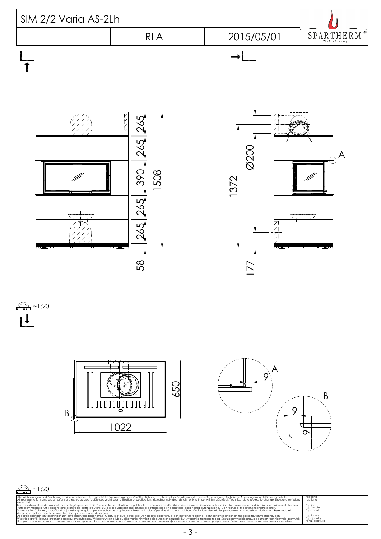<span id="page-2-0"></span>

 $\sum_{n=1}^{\infty}$  ~1:20



| $\frac{1}{20}$ ~1:20                                                                                                                                                                                                                                                                                                                                                                                                                                                                                                                                                                                                                                                                                                                                                                                                                                                                                                                                                                                                                                                                                                                                                                                                                                                                                                                                                                 |                                                                                 |
|--------------------------------------------------------------------------------------------------------------------------------------------------------------------------------------------------------------------------------------------------------------------------------------------------------------------------------------------------------------------------------------------------------------------------------------------------------------------------------------------------------------------------------------------------------------------------------------------------------------------------------------------------------------------------------------------------------------------------------------------------------------------------------------------------------------------------------------------------------------------------------------------------------------------------------------------------------------------------------------------------------------------------------------------------------------------------------------------------------------------------------------------------------------------------------------------------------------------------------------------------------------------------------------------------------------------------------------------------------------------------------------|---------------------------------------------------------------------------------|
| Alle Abbildungen und Zeichnungen sind urheberrechtlich geschützt. Verwertung oder Veröffentlichung, auch einzelner Details, nur mit unserer Genehmigung. Technische Änderungen und Irrtümer vorbehalten.<br>All representations and drawings are protected by applicable copyright laws. Utilisation or publication, including individual details, only with our written approval. Technical data subject to change. Errors and omissions                                                                                                                                                                                                                                                                                                                                                                                                                                                                                                                                                                                                                                                                                                                                                                                                                                                                                                                                            | *optional<br>*optional                                                          |
| excepted.<br>Les illustrations et les dessins sont tous protégés par des droit d'auteur. Toute utilisation ou publication, y compris de détails individuels, nécessite notre autorisation. Sous réserve de modifications techniques et d'er<br>Tutte le immagini e tutti i disegni sono protetti da diritto d'autore. L'uso o la pubblicazione, anche di dettagli singoli, necessitano della nostra autorizzazione. Con riserva di modifiche tecniche e errori.<br>Todas las ilustaciones y todos los dibuios están protegidos por derechos de propiedad intelectual. Solo se permite el uso o la publicación, incluso de detalles particulares, con nuestra autorización, Reservado el<br>derecho a realizar modificaciones técnicas y correcciones de errores.<br>Alle afbeeldingen en tekeningen zijn autersrechtelijk beschermd. Gebruik of publicatie, ook van aparte gegevens, alleen met onze toelating. Technische wijzigingen en mogelijke fouten voorbehouden.<br>Wszystkie grafiki i rysunki chronione są prawem autorskim. Wykorzystywanie lub publikowanie, również pojedynczych szczegółów, wyłącznie za naszą zgodą. Zastrzegamy sobie prawo do zmian technicznych i pomytek.<br>Все рисунки и чертежи защищены авторским правом Использование или публикация, в том числе отдельных фрагментов, только с нашего разрешения. Возможны технические изменения и ошибки, | *option<br>*opzionale<br>*opcional<br>*optionele<br>*opcjonalny<br>*опционально |